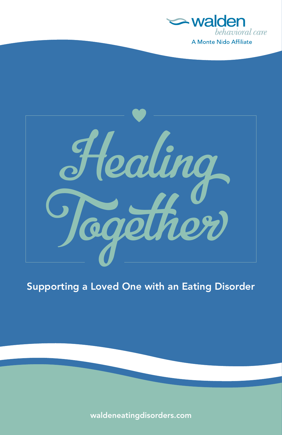



#### Supporting a Loved One with an Eating Disorder

waldeneatingdisorders.com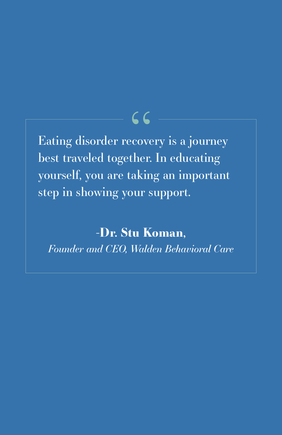# $66$

Eating disorder recovery is a journey best traveled together. In educating yourself, you are taking an important step in showing your support.

### **-Dr. Stu Koman,**

*Founder and CEO, Walden Behavioral Care*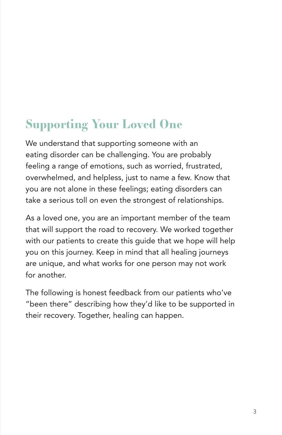# **Supporting Your Loved One**

We understand that supporting someone with an eating disorder can be challenging. You are probably feeling a range of emotions, such as worried, frustrated, overwhelmed, and helpless, just to name a few. Know that you are not alone in these feelings; eating disorders can take a serious toll on even the strongest of relationships.

As a loved one, you are an important member of the team that will support the road to recovery. We worked together with our patients to create this guide that we hope will help you on this journey. Keep in mind that all healing journeys are unique, and what works for one person may not work for another.

The following is honest feedback from our patients who've "been there" describing how they'd like to be supported in their recovery. Together, healing can happen.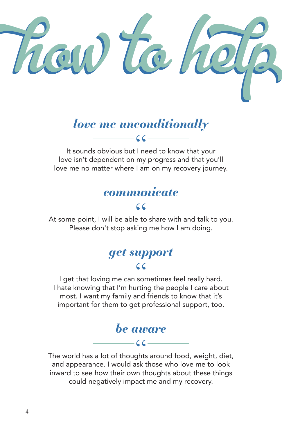

#### *love me unconditionally*  $-66$

It sounds obvious but I need to know that your love isn't dependent on my progress and that you'll love me no matter where I am on my recovery journey.

# *communicate*  $CC-$

At some point, I will be able to share with and talk to you. Please don't stop asking me how I am doing.



I get that loving me can sometimes feel really hard. I hate knowing that I'm hurting the people I care about most. I want my family and friends to know that it's important for them to get professional support, too.



The world has a lot of thoughts around food, weight, diet, and appearance. I would ask those who love me to look inward to see how their own thoughts about these things could negatively impact me and my recovery.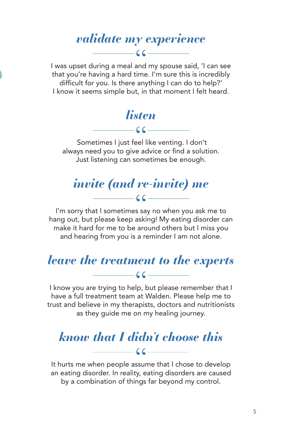# *validate my experience*

I was upset during a meal and my spouse said, 'I can see that you're having a hard time. I'm sure this is incredibly difficult for you. Is there anything I can do to help?' I know it seems simple but, in that moment I felt heard.

*listen*

 $-66$ 

#### Sometimes I just feel like venting. I don't always need you to give advice or find a solution. Just listening can sometimes be enough.

#### *invite (and re-invite) me*  $\overline{\phantom{a}}$   $\overline{\phantom{a}}$   $\overline{\phantom{a}}$   $\overline{\phantom{a}}$   $\overline{\phantom{a}}$   $\overline{\phantom{a}}$   $\overline{\phantom{a}}$   $\overline{\phantom{a}}$   $\overline{\phantom{a}}$   $\overline{\phantom{a}}$   $\overline{\phantom{a}}$   $\overline{\phantom{a}}$   $\overline{\phantom{a}}$   $\overline{\phantom{a}}$   $\overline{\phantom{a}}$   $\overline{\phantom{a}}$   $\overline{\phantom{a}}$   $\overline{\phantom{a}}$   $\overline{\$

I'm sorry that I sometimes say no when you ask me to hang out, but please keep asking! My eating disorder can make it hard for me to be around others but I miss you and hearing from you is a reminder I am not alone.

#### *leave the treatment to the experts*  $-66$

I know you are trying to help, but please remember that I have a full treatment team at Walden. Please help me to trust and believe in my therapists, doctors and nutritionists as they guide me on my healing journey.

#### *know that I didn't choose this*  $\sim$  66  $-$

It hurts me when people assume that I chose to develop an eating disorder. In reality, eating disorders are caused by a combination of things far beyond my control.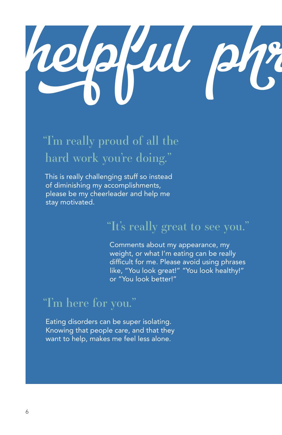# $e$

# "I'm really proud of all the hard work you're doing."

This is really challenging stuff so instead of diminishing my accomplishments, please be my cheerleader and help me stay motivated.

# "It's really great to see you."

Comments about my appearance, my weight, or what I'm eating can be really difficult for me. Please avoid using phrases like, "You look great!" "You look healthy!" or "You look better!"

# "I'm here for you."

Eating disorders can be super isolating. Knowing that people care, and that they want to help, makes me feel less alone.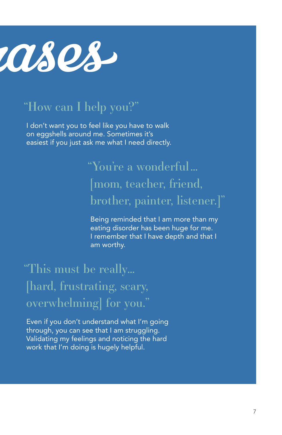

#### "How can I help you?"

I don't want you to feel like you have to walk on eggshells around me. Sometimes it's easiest if you just ask me what I need directly.

# "You're a wonderful… [mom, teacher, friend, brother, painter, listener.]"

Being reminded that I am more than my eating disorder has been huge for me. I remember that I have depth and that I am worthy.

"This must be really… [hard, frustrating, scary, overwhelming] for you."

Even if you don't understand what I'm going through, you can see that I am struggling. Validating my feelings and noticing the hard work that I'm doing is hugely helpful.